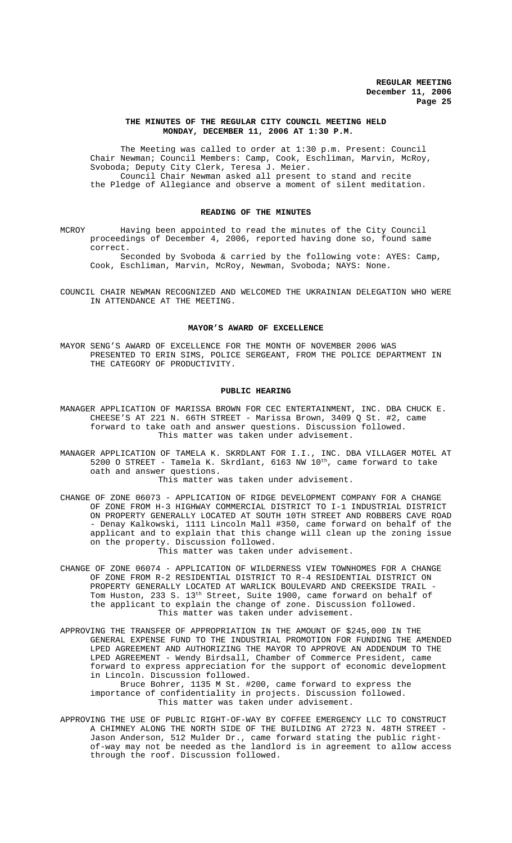#### **THE MINUTES OF THE REGULAR CITY COUNCIL MEETING HELD MONDAY, DECEMBER 11, 2006 AT 1:30 P.M.**

The Meeting was called to order at 1:30 p.m. Present: Council Chair Newman; Council Members: Camp, Cook, Eschliman, Marvin, McRoy, Svoboda; Deputy City Clerk, Teresa J. Meier. Council Chair Newman asked all present to stand and recite the Pledge of Allegiance and observe a moment of silent meditation.

### **READING OF THE MINUTES**

MCROY Having been appointed to read the minutes of the City Council proceedings of December 4, 2006, reported having done so, found same correct.

Seconded by Svoboda & carried by the following vote: AYES: Camp, Cook, Eschliman, Marvin, McRoy, Newman, Svoboda; NAYS: None.

COUNCIL CHAIR NEWMAN RECOGNIZED AND WELCOMED THE UKRAINIAN DELEGATION WHO WERE IN ATTENDANCE AT THE MEETING.

#### **MAYOR'S AWARD OF EXCELLENCE**

MAYOR SENG'S AWARD OF EXCELLENCE FOR THE MONTH OF NOVEMBER 2006 WAS PRESENTED TO ERIN SIMS, POLICE SERGEANT, FROM THE POLICE DEPARTMENT IN THE CATEGORY OF PRODUCTIVITY.

#### **PUBLIC HEARING**

- MANAGER APPLICATION OF MARISSA BROWN FOR CEC ENTERTAINMENT, INC. DBA CHUCK E. CHEESE'S AT 221 N. 66TH STREET - Marissa Brown, 3409 Q St. #2, came forward to take oath and answer questions. Discussion followed. This matter was taken under advisement.
- MANAGER APPLICATION OF TAMELA K. SKRDLANT FOR I.I., INC. DBA VILLAGER MOTEL AT 5200 O STREET - Tamela K. Skrdlant,  $6163$  NW  $10^{th}$ , came forward to take oath and answer questions.

This matter was taken under advisement.

- CHANGE OF ZONE 06073 APPLICATION OF RIDGE DEVELOPMENT COMPANY FOR A CHANGE OF ZONE FROM H-3 HIGHWAY COMMERCIAL DISTRICT TO I-1 INDUSTRIAL DISTRICT ON PROPERTY GENERALLY LOCATED AT SOUTH 10TH STREET AND ROBBERS CAVE ROAD - Denay Kalkowski, 1111 Lincoln Mall #350, came forward on behalf of the applicant and to explain that this change will clean up the zoning issue on the property. Discussion followed. This matter was taken under advisement.
- CHANGE OF ZONE 06074 APPLICATION OF WILDERNESS VIEW TOWNHOMES FOR A CHANGE OF ZONE FROM R-2 RESIDENTIAL DISTRICT TO R-4 RESIDENTIAL DISTRICT ON PROPERTY GENERALLY LOCATED AT WARLICK BOULEVARD AND CREEKSIDE TRAIL - Tom Huston, 233 S. 13<sup>th</sup> Street, Suite 1900, came forward on behalf of the applicant to explain the change of zone. Discussion followed. This matter was taken under advisement.
- APPROVING THE TRANSFER OF APPROPRIATION IN THE AMOUNT OF \$245,000 IN THE GENERAL EXPENSE FUND TO THE INDUSTRIAL PROMOTION FOR FUNDING THE AMENDED LPED AGREEMENT AND AUTHORIZING THE MAYOR TO APPROVE AN ADDENDUM TO THE LPED AGREEMENT - Wendy Birdsall, Chamber of Commerce President, came forward to express appreciation for the support of economic development in Lincoln. Discussion followed. Bruce Bohrer, 1135 M St. #200, came forward to express the importance of confidentiality in projects. Discussion followed. This matter was taken under advisement.
- APPROVING THE USE OF PUBLIC RIGHT-OF-WAY BY COFFEE EMERGENCY LLC TO CONSTRUCT A CHIMNEY ALONG THE NORTH SIDE OF THE BUILDING AT 2723 N. 48TH STREET - Jason Anderson, 512 Mulder Dr., came forward stating the public rightof-way may not be needed as the landlord is in agreement to allow access through the roof. Discussion followed.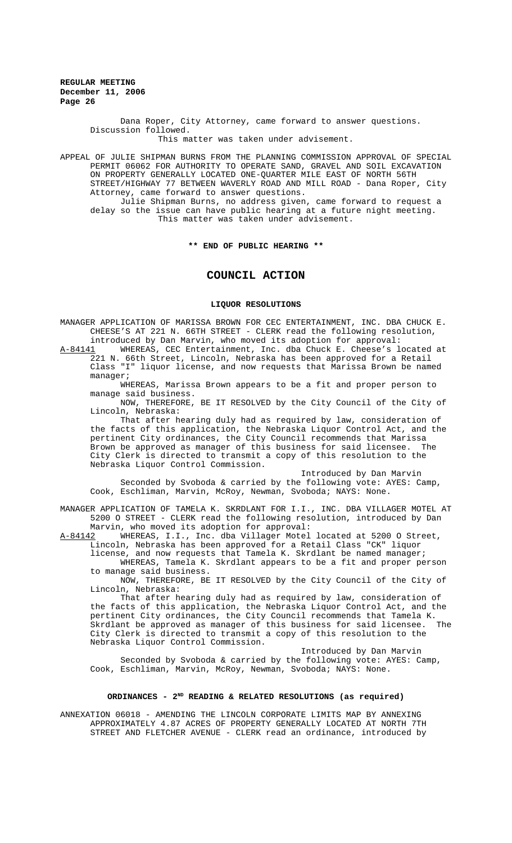> Dana Roper, City Attorney, came forward to answer questions. Discussion followed.

This matter was taken under advisement.

APPEAL OF JULIE SHIPMAN BURNS FROM THE PLANNING COMMISSION APPROVAL OF SPECIAL PERMIT 06062 FOR AUTHORITY TO OPERATE SAND, GRAVEL AND SOIL EXCAVATION ON PROPERTY GENERALLY LOCATED ONE-QUARTER MILE EAST OF NORTH 56TH STREET/HIGHWAY 77 BETWEEN WAVERLY ROAD AND MILL ROAD - Dana Roper, City Attorney, came forward to answer questions. Julie Shipman Burns, no address given, came forward to request a

delay so the issue can have public hearing at a future night meeting. This matter was taken under advisement.

#### **\*\* END OF PUBLIC HEARING \*\***

## **COUNCIL ACTION**

#### **LIQUOR RESOLUTIONS**

MANAGER APPLICATION OF MARISSA BROWN FOR CEC ENTERTAINMENT, INC. DBA CHUCK E. CHEESE'S AT 221 N. 66TH STREET - CLERK read the following resolution, introduced by Dan Marvin, who moved its adoption for approval:<br>A-84141 WHEREAS, CEC Entertainment, Inc. dba Chuck E. Cheese's l

WHEREAS, CEC Entertainment, Inc. dba Chuck E. Cheese's located at 221 N. 66th Street, Lincoln, Nebraska has been approved for a Retail Class "I" liquor license, and now requests that Marissa Brown be named manager;

WHEREAS, Marissa Brown appears to be a fit and proper person to manage said business.

NOW, THEREFORE, BE IT RESOLVED by the City Council of the City of Lincoln, Nebraska:

That after hearing duly had as required by law, consideration of the facts of this application, the Nebraska Liquor Control Act, and the pertinent City ordinances, the City Council recommends that Marissa Brown be approved as manager of this business for said licensee. City Clerk is directed to transmit a copy of this resolution to the Nebraska Liquor Control Commission.

Introduced by Dan Marvin

Seconded by Svoboda & carried by the following vote: AYES: Camp, Cook, Eschliman, Marvin, McRoy, Newman, Svoboda; NAYS: None.

MANAGER APPLICATION OF TAMELA K. SKRDLANT FOR I.I., INC. DBA VILLAGER MOTEL AT 5200 O STREET - CLERK read the following resolution, introduced by Dan Marvin, who moved its adoption for approval:

A-84142 WHEREAS, I.I., Inc. dba Villager Motel located at 5200 O Street, Lincoln, Nebraska has been approved for a Retail Class "CK" liquor license, and now requests that Tamela K. Skrdlant be named manager; WHEREAS, Tamela K. Skrdlant appears to be a fit and proper person

to manage said business. NOW, THEREFORE, BE IT RESOLVED by the City Council of the City of Lincoln, Nebraska:

That after hearing duly had as required by law, consideration of the facts of this application, the Nebraska Liquor Control Act, and the pertinent City ordinances, the City Council recommends that Tamela K. Skrdlant be approved as manager of this business for said licensee. City Clerk is directed to transmit a copy of this resolution to the Nebraska Liquor Control Commission.

Introduced by Dan Marvin Seconded by Svoboda & carried by the following vote: AYES: Camp, Cook, Eschliman, Marvin, McRoy, Newman, Svoboda; NAYS: None.

### ORDINANCES - 2<sup>ND</sup> READING & RELATED RESOLUTIONS (as required)

ANNEXATION 06018 - AMENDING THE LINCOLN CORPORATE LIMITS MAP BY ANNEXING APPROXIMATELY 4.87 ACRES OF PROPERTY GENERALLY LOCATED AT NORTH 7TH STREET AND FLETCHER AVENUE - CLERK read an ordinance, introduced by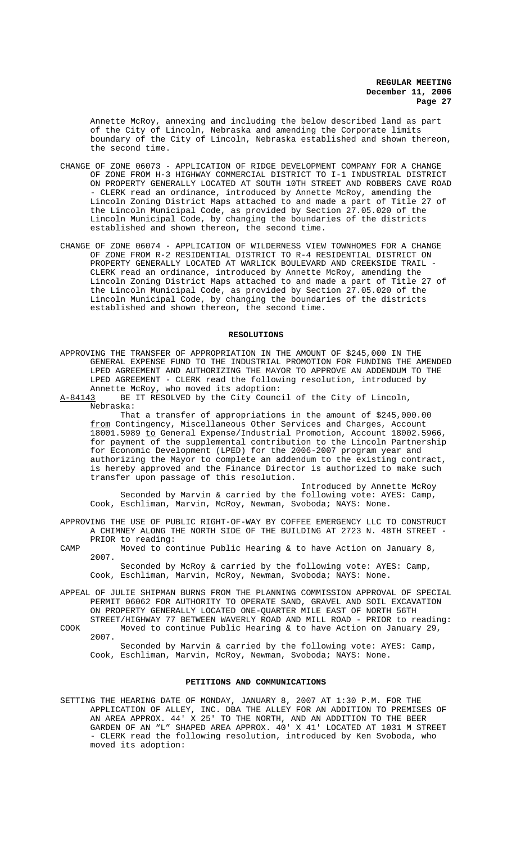Annette McRoy, annexing and including the below described land as part of the City of Lincoln, Nebraska and amending the Corporate limits boundary of the City of Lincoln, Nebraska established and shown thereon, the second time.

- CHANGE OF ZONE 06073 APPLICATION OF RIDGE DEVELOPMENT COMPANY FOR A CHANGE OF ZONE FROM H-3 HIGHWAY COMMERCIAL DISTRICT TO I-1 INDUSTRIAL DISTRICT ON PROPERTY GENERALLY LOCATED AT SOUTH 10TH STREET AND ROBBERS CAVE ROAD - CLERK read an ordinance, introduced by Annette McRoy, amending the Lincoln Zoning District Maps attached to and made a part of Title 27 of the Lincoln Municipal Code, as provided by Section 27.05.020 of the Lincoln Municipal Code, by changing the boundaries of the districts established and shown thereon, the second time.
- CHANGE OF ZONE 06074 APPLICATION OF WILDERNESS VIEW TOWNHOMES FOR A CHANGE OF ZONE FROM R-2 RESIDENTIAL DISTRICT TO R-4 RESIDENTIAL DISTRICT ON PROPERTY GENERALLY LOCATED AT WARLICK BOULEVARD AND CREEKSIDE TRAIL CLERK read an ordinance, introduced by Annette McRoy, amending the Lincoln Zoning District Maps attached to and made a part of Title 27 of the Lincoln Municipal Code, as provided by Section 27.05.020 of the Lincoln Municipal Code, by changing the boundaries of the districts established and shown thereon, the second time.

#### **RESOLUTIONS**

APPROVING THE TRANSFER OF APPROPRIATION IN THE AMOUNT OF \$245,000 IN THE GENERAL EXPENSE FUND TO THE INDUSTRIAL PROMOTION FOR FUNDING THE AMENDED LPED AGREEMENT AND AUTHORIZING THE MAYOR TO APPROVE AN ADDENDUM TO THE LPED AGREEMENT - CLERK read the following resolution, introduced by Annette McRoy, who moved its adoption:

A-84143 BE IT RESOLVED by the City Council of the City of Lincoln, Nebraska:

That a transfer of appropriations in the amount of \$245,000.00 from Contingency, Miscellaneous Other Services and Charges, Account 18001.5989 to General Expense/Industrial Promotion, Account 18002.5966, for payment of the supplemental contribution to the Lincoln Partnership for Economic Development (LPED) for the 2006-2007 program year and authorizing the Mayor to complete an addendum to the existing contract, is hereby approved and the Finance Director is authorized to make such transfer upon passage of this resolution.

Introduced by Annette McRoy Seconded by Marvin & carried by the following vote: AYES: Camp, Cook, Eschliman, Marvin, McRoy, Newman, Svoboda; NAYS: None.

- APPROVING THE USE OF PUBLIC RIGHT-OF-WAY BY COFFEE EMERGENCY LLC TO CONSTRUCT A CHIMNEY ALONG THE NORTH SIDE OF THE BUILDING AT 2723 N. 48TH STREET - PRIOR to reading:
- CAMP Moved to continue Public Hearing & to have Action on January 8, 2007.

Seconded by McRoy & carried by the following vote: AYES: Camp, Cook, Eschliman, Marvin, McRoy, Newman, Svoboda; NAYS: None.

- APPEAL OF JULIE SHIPMAN BURNS FROM THE PLANNING COMMISSION APPROVAL OF SPECIAL PERMIT 06062 FOR AUTHORITY TO OPERATE SAND, GRAVEL AND SOIL EXCAVATION ON PROPERTY GENERALLY LOCATED ONE-QUARTER MILE EAST OF NORTH 56TH
- STREET/HIGHWAY 77 BETWEEN WAVERLY ROAD AND MILL ROAD PRIOR to reading: COOK Moved to continue Public Hearing & to have Action on January 29, 2007.

Seconded by Marvin & carried by the following vote: AYES: Camp, Cook, Eschliman, Marvin, McRoy, Newman, Svoboda; NAYS: None.

#### **PETITIONS AND COMMUNICATIONS**

SETTING THE HEARING DATE OF MONDAY, JANUARY 8, 2007 AT 1:30 P.M. FOR THE APPLICATION OF ALLEY, INC. DBA THE ALLEY FOR AN ADDITION TO PREMISES OF AN AREA APPROX. 44' X 25' TO THE NORTH, AND AN ADDITION TO THE BEER GARDEN OF AN "L" SHAPED AREA APPROX. 40' X 41' LOCATED AT 1031 M STREET - CLERK read the following resolution, introduced by Ken Svoboda, who moved its adoption: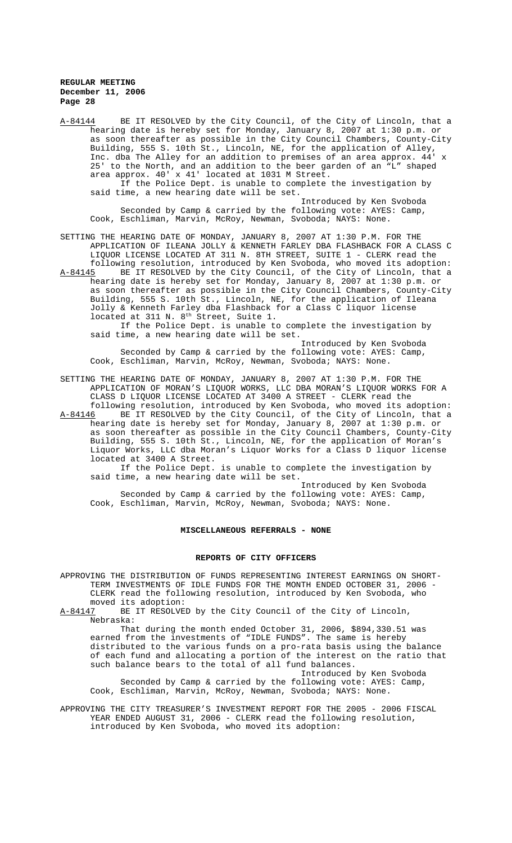A-84144 BE IT RESOLVED by the City Council, of the City of Lincoln, that a hearing date is hereby set for Monday, January 8, 2007 at 1:30 p.m. or as soon thereafter as possible in the City Council Chambers, County-City Building, 555 S. 10th St., Lincoln, NE, for the application of Alley, Inc. dba The Alley for an addition to premises of an area approx. 44' 25' to the North, and an addition to the beer garden of an "L" shaped area approx. 40' x 41' located at 1031 M Street. If the Police Dept. is unable to complete the investigation by said time, a new hearing date will be set. Introduced by Ken Svoboda Seconded by Camp & carried by the following vote: AYES: Camp, Cook, Eschliman, Marvin, McRoy, Newman, Svoboda; NAYS: None.

SETTING THE HEARING DATE OF MONDAY, JANUARY 8, 2007 AT 1:30 P.M. FOR THE APPLICATION OF ILEANA JOLLY & KENNETH FARLEY DBA FLASHBACK FOR A CLASS C LIQUOR LICENSE LOCATED AT 311 N. 8TH STREET, SUITE 1 - CLERK read the following resolution, introduced by Ken Svoboda, who moved its adoption: A-84145 BE IT RESOLVED by the City Council, of the City of Lincoln, that a

hearing date is hereby set for Monday, January 8, 2007 at 1:30 p.m. or as soon thereafter as possible in the City Council Chambers, County-City Building, 555 S. 10th St., Lincoln, NE, for the application of Ileana Jolly & Kenneth Farley dba Flashback for a Class C liquor license located at 311 N. 8<sup>th</sup> Street, Suite 1.

If the Police Dept. is unable to complete the investigation by said time, a new hearing date will be set.

Introduced by Ken Svoboda Seconded by Camp & carried by the following vote: AYES: Camp, Cook, Eschliman, Marvin, McRoy, Newman, Svoboda; NAYS: None.

SETTING THE HEARING DATE OF MONDAY, JANUARY 8, 2007 AT 1:30 P.M. FOR THE APPLICATION OF MORAN'S LIQUOR WORKS, LLC DBA MORAN'S LIQUOR WORKS FOR A CLASS D LIQUOR LICENSE LOCATED AT 3400 A STREET - CLERK read the following resolution, introduced by Ken Svoboda, who moved its adoption:

A-84146 BE IT RESOLVED by the City Council, of the City of Lincoln, that a hearing date is hereby set for Monday, January 8, 2007 at 1:30 p.m. or as soon thereafter as possible in the City Council Chambers, County-City Building, 555 S. 10th St., Lincoln, NE, for the application of Moran's Liquor Works, LLC dba Moran's Liquor Works for a Class D liquor license located at 3400 A Street.

If the Police Dept. is unable to complete the investigation by said time, a new hearing date will be set.

Introduced by Ken Svoboda Seconded by Camp & carried by the following vote: AYES: Camp, Cook, Eschliman, Marvin, McRoy, Newman, Svoboda; NAYS: None.

#### **MISCELLANEOUS REFERRALS - NONE**

#### **REPORTS OF CITY OFFICERS**

APPROVING THE DISTRIBUTION OF FUNDS REPRESENTING INTEREST EARNINGS ON SHORT-TERM INVESTMENTS OF IDLE FUNDS FOR THE MONTH ENDED OCTOBER 31, 2006 CLERK read the following resolution, introduced by Ken Svoboda, who

moved its adoption:<br><u>A-84147</u> BE IT RESOLVE BE IT RESOLVED by the City Council of the City of Lincoln, Nebraska:

That during the month ended October 31, 2006, \$894,330.51 was earned from the investments of "IDLE FUNDS". The same is hereby distributed to the various funds on a pro-rata basis using the balance of each fund and allocating a portion of the interest on the ratio that such balance bears to the total of all fund balances.

Introduced by Ken Svoboda Seconded by Camp & carried by the following vote: AYES: Camp, Cook, Eschliman, Marvin, McRoy, Newman, Svoboda; NAYS: None.

APPROVING THE CITY TREASURER'S INVESTMENT REPORT FOR THE 2005 - 2006 FISCAL YEAR ENDED AUGUST 31, 2006 - CLERK read the following resolution, introduced by Ken Svoboda, who moved its adoption: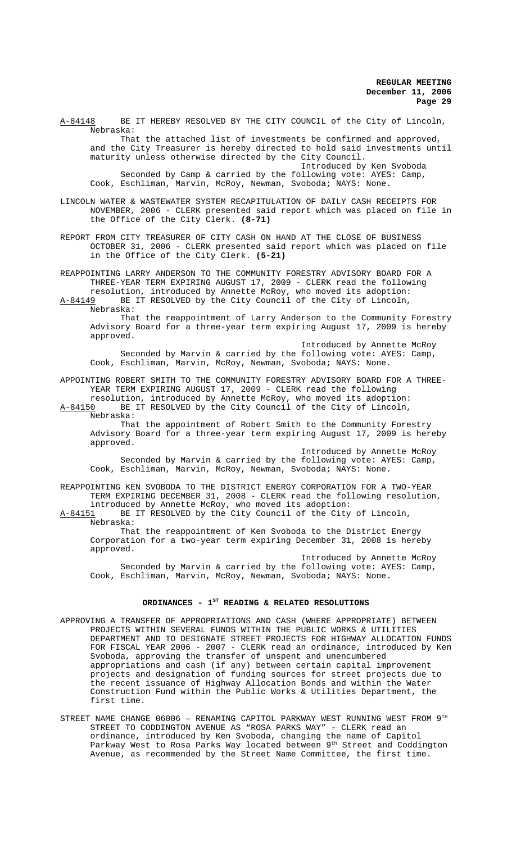A-84148 BE IT HEREBY RESOLVED BY THE CITY COUNCIL of the City of Lincoln, Nebraska: That the attached list of investments be confirmed and approved, and the City Treasurer is hereby directed to hold said investments until maturity unless otherwise directed by the City Council.

Introduced by Ken Svoboda Seconded by Camp & carried by the following vote: AYES: Camp, Cook, Eschliman, Marvin, McRoy, Newman, Svoboda; NAYS: None.

LINCOLN WATER & WASTEWATER SYSTEM RECAPITULATION OF DAILY CASH RECEIPTS FOR NOVEMBER, 2006 - CLERK presented said report which was placed on file in the Office of the City Clerk. **(8-71)**

REPORT FROM CITY TREASURER OF CITY CASH ON HAND AT THE CLOSE OF BUSINESS OCTOBER 31, 2006 - CLERK presented said report which was placed on file in the Office of the City Clerk. **(5-21)**

REAPPOINTING LARRY ANDERSON TO THE COMMUNITY FORESTRY ADVISORY BOARD FOR A THREE-YEAR TERM EXPIRING AUGUST 17, 2009 - CLERK read the following resolution, introduced by Annette McRoy, who moved its adoption:

A-84149 BE IT RESOLVED by the City Council of the City of Lincoln, Nebraska:

That the reappointment of Larry Anderson to the Community Forestry Advisory Board for a three-year term expiring August 17, 2009 is hereby approved.

Introduced by Annette McRoy Seconded by Marvin & carried by the following vote: AYES: Camp, Cook, Eschliman, Marvin, McRoy, Newman, Svoboda; NAYS: None.

APPOINTING ROBERT SMITH TO THE COMMUNITY FORESTRY ADVISORY BOARD FOR A THREE-YEAR TERM EXPIRING AUGUST 17, 2009 - CLERK read the following

resolution, introduced by Annette McRoy, who moved its adoption:<br>A-84150 BE IT RESOLVED by the City Council of the City of Lincoln, BE IT RESOLVED by the City Council of the City of Lincoln, Nebraska:

That the appointment of Robert Smith to the Community Forestry Advisory Board for a three-year term expiring August 17, 2009 is hereby approved.

Introduced by Annette McRoy Seconded by Marvin & carried by the following vote: AYES: Camp, Cook, Eschliman, Marvin, McRoy, Newman, Svoboda; NAYS: None.

REAPPOINTING KEN SVOBODA TO THE DISTRICT ENERGY CORPORATION FOR A TWO-YEAR TERM EXPIRING DECEMBER 31, 2008 - CLERK read the following resolution, introduced by Annette McRoy, who moved its adoption:

A-84151 BE IT RESOLVED by the City Council of the City of Lincoln, Nebraska:

That the reappointment of Ken Svoboda to the District Energy Corporation for a two-year term expiring December 31, 2008 is hereby approved.

Introduced by Annette McRoy Seconded by Marvin & carried by the following vote: AYES: Camp, Cook, Eschliman, Marvin, McRoy, Newman, Svoboda; NAYS: None.

# ORDINANCES - 1<sup>st</sup> READING & RELATED RESOLUTIONS

- APPROVING A TRANSFER OF APPROPRIATIONS AND CASH (WHERE APPROPRIATE) BETWEEN PROJECTS WITHIN SEVERAL FUNDS WITHIN THE PUBLIC WORKS & UTILITIES DEPARTMENT AND TO DESIGNATE STREET PROJECTS FOR HIGHWAY ALLOCATION FUNDS FOR FISCAL YEAR 2006 - 2007 - CLERK read an ordinance, introduced by Ken Svoboda, approving the transfer of unspent and unencumbered appropriations and cash (if any) between certain capital improvement projects and designation of funding sources for street projects due to the recent issuance of Highway Allocation Bonds and within the Water Construction Fund within the Public Works & Utilities Department, the first time.
- STREET NAME CHANGE  $06006$  RENAMING CAPITOL PARKWAY WEST RUNNING WEST FROM  $9^{TH}$ STREET TO CODDINGTON AVENUE AS "ROSA PARKS WAY" - CLERK read an ordinance, introduced by Ken Svoboda, changing the name of Capitol Parkway West to Rosa Parks Way located between 9<sup>th</sup> Street and Coddington Avenue, as recommended by the Street Name Committee, the first time.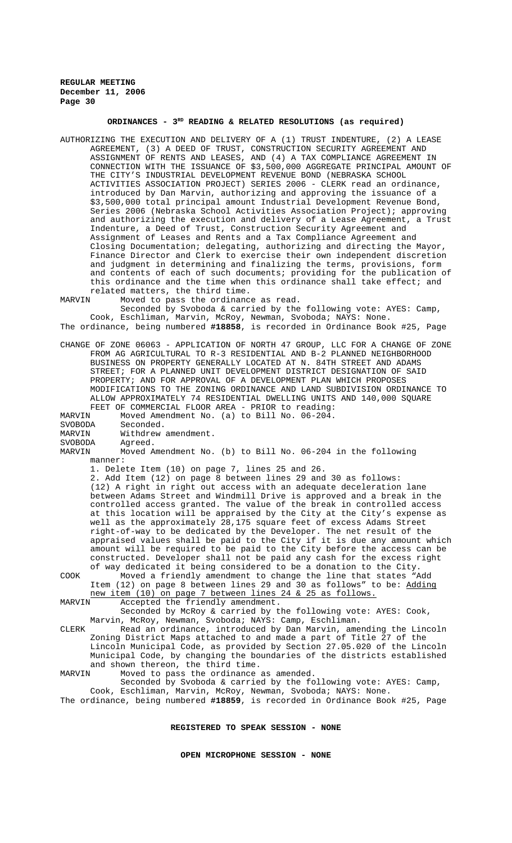### **ORDINANCES - 3RD READING & RELATED RESOLUTIONS (as required)**

- AUTHORIZING THE EXECUTION AND DELIVERY OF A (1) TRUST INDENTURE, (2) A LEASE AGREEMENT, (3) A DEED OF TRUST, CONSTRUCTION SECURITY AGREEMENT AND ASSIGNMENT OF RENTS AND LEASES, AND (4) A TAX COMPLIANCE AGREEMENT IN CONNECTION WITH THE ISSUANCE OF \$3,500,000 AGGREGATE PRINCIPAL AMOUNT OF THE CITY'S INDUSTRIAL DEVELOPMENT REVENUE BOND (NEBRASKA SCHOOL ACTIVITIES ASSOCIATION PROJECT) SERIES 2006 - CLERK read an ordinance, introduced by Dan Marvin, authorizing and approving the issuance of a \$3,500,000 total principal amount Industrial Development Revenue Bond, Series 2006 (Nebraska School Activities Association Project); approving and authorizing the execution and delivery of a Lease Agreement, a Trust Indenture, a Deed of Trust, Construction Security Agreement and Assignment of Leases and Rents and a Tax Compliance Agreement and Closing Documentation; delegating, authorizing and directing the Mayor, Finance Director and Clerk to exercise their own independent discretion and judgment in determining and finalizing the terms, provisions, form and contents of each of such documents; providing for the publication of this ordinance and the time when this ordinance shall take effect; and related matters, the third time.<br>MARVIN Moved to pass the ordinanc
- Moved to pass the ordinance as read.

Seconded by Svoboda & carried by the following vote: AYES: Camp, Cook, Eschliman, Marvin, McRoy, Newman, Svoboda; NAYS: None. The ordinance, being numbered **#18858**, is recorded in Ordinance Book #25, Page

CHANGE OF ZONE 06063 - APPLICATION OF NORTH 47 GROUP, LLC FOR A CHANGE OF ZONE FROM AG AGRICULTURAL TO R-3 RESIDENTIAL AND B-2 PLANNED NEIGHBORHOOD BUSINESS ON PROPERTY GENERALLY LOCATED AT N. 84TH STREET AND ADAMS STREET; FOR A PLANNED UNIT DEVELOPMENT DISTRICT DESIGNATION OF SAID PROPERTY; AND FOR APPROVAL OF A DEVELOPMENT PLAN WHICH PROPOSES MODIFICATIONS TO THE ZONING ORDINANCE AND LAND SUBDIVISION ORDINANCE TO ALLOW APPROXIMATELY 74 RESIDENTIAL DWELLING UNITS AND 140,000 SQUARE FEET OF COMMERCIAL FLOOR AREA - PRIOR to reading:<br>MARVIN Moved Amendment No. (a) to Bill No. 06-204.

Moved Amendment No. (a) to Bill No. 06-204.

SVOBODA Seconded.<br>MARVIN Withdrew Withdrew amendment.

SVOBODA Agreed.<br>MARVIN Moved A

Moved Amendment No. (b) to Bill No. 06-204 in the following manner:

1. Delete Item (10) on page 7, lines 25 and 26.

2. Add Item (12) on page 8 between lines 29 and 30 as follows: (12) A right in right out access with an adequate deceleration lane between Adams Street and Windmill Drive is approved and a break in the controlled access granted. The value of the break in controlled access at this location will be appraised by the City at the City's expense as well as the approximately 28,175 square feet of excess Adams Street right-of-way to be dedicated by the Developer. The net result of the appraised values shall be paid to the City if it is due any amount which amount will be required to be paid to the City before the access can be constructed. Developer shall not be paid any cash for the excess right of way dedicated it being considered to be a donation to the City. COOK Moved a friendly amendment to change the line that states "Add

Item (12) on page 8 between lines 29 and 30 as follows" to be: Adding new item (10) on page 7 between lines 24 & 25 as follows.<br>MARVIN Accepted the friendly amendment. Accepted the friendly amendment.

Seconded by McRoy & carried by the following vote: AYES: Cook, Marvin, McRoy, Newman, Svoboda; NAYS: Camp, Eschliman. CLERK Read an ordinance, introduced by Dan Marvin, amending the Lincoln

Zoning District Maps attached to and made a part of Title 27 of the Lincoln Municipal Code, as provided by Section 27.05.020 of the Lincoln Municipal Code, by changing the boundaries of the districts established and shown thereon, the third time.<br>MARVIN Moved to pass the ordinance.

Moved to pass the ordinance as amended.

Seconded by Svoboda & carried by the following vote: AYES: Camp, Cook, Eschliman, Marvin, McRoy, Newman, Svoboda; NAYS: None. The ordinance, being numbered **#18859**, is recorded in Ordinance Book #25, Page

### **REGISTERED TO SPEAK SESSION - NONE**

**OPEN MICROPHONE SESSION - NONE**